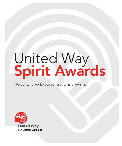# United Way Spirit Awards

Recognizing workplace generosity & leadership

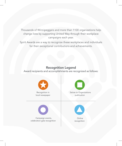Thousands of Winnipeggers and more than 1100 organizations help change lives by supporting United Way through their workplace campaigns each year.

Spirit Awards are a way to recognize these workplaces and individuals for their exceptional contributions and achievements.

# Recognition legend

Award recipients and accomplishments are recognized as follows:

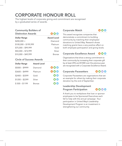# CORPORATe HOnOUR ROll

The highest levels of corporate giving and commitment are recognized by a graduated series of awards.

# Community Builders of

| <b>Distinction Awards</b> | 000                |
|---------------------------|--------------------|
| <b>Dollar Range</b>       | <b>Award Level</b> |
| $$200,000 +$              | Diamond            |
| $$100,000 - $199,999$     | Platinum           |
| $$75,000 - $99,999$       | Gold               |
| $$50,000 - $74,999$       | Silver             |
| $$10,000 - $49,999$       | Bronze             |

## Circle of Success Awards

| <b>Dollar Range</b> | <b>Award Level</b> |                         |
|---------------------|--------------------|-------------------------|
| $$5000 - $9999$     | Diamond            | $\mathbf{O} \mathbf{O}$ |
| $$3600 - $4999$     | Platinum           | $\mathbf{O} \mathbf{O}$ |
| $$2400 - $3599$     | Gold               | 00                      |
| $$1200 - $2399$     | Silver             | 00                      |
| $$500 - $1199$      | Bronze             |                         |

# Corporate Match

 $000$ 

This award recognizes companies that demonstrate a commitment to building community by matching their employees' donations to United Way. Research shows matching grants have a very positive effect on both employee participation and giving levels.

#### **Corporate Excellence Award** 800

Organizations that show a strong commitment to their community by increasing their corporate gift by at least 25% and \$1000 over the previous year are recognized with a Corporate Excellence Award.

## Corporate Pacesetters

8000

Corporate Pacesetters are organizations that set an example for others by making their corporate donation by the end of September.

# **Leadership Development** Program Participation

0000

A thank you to workplaces that loan or sponsor employees to be Sponsored Executives each fall to help with the annual campaign. Your participation in United Way's Leadership Development Program is an investment in strengthening our community.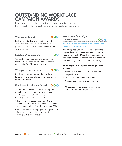# OUTSTANDING WORKPLACE CAMPAIGN AWARDS

Please note: to be eligible for the following awards, there must be at least five donors participating in your workplace campaign.

# Workplace Top 50

 $000$ 

Each year, United Way salutes the Top 50 workplace campaigns for their incredible generosity and support for better lives for all Winnipeggers.

# Leading Organizations

We salute companies and organizations with three or more Leadership donors who make individual gifts of \$1200 and above.

# Workplace Pacesetters

800

00

Employers who set an example for others to follow by running employee campaigns by the end of September.

#### Employee Excellence Award 800

The Employee Excellence Award recognizes participation and generosity by workplace employees as a whole. Meeting either of the following criteria earns this award:

- Increase donor participation by 5% and donations by \$1000 over previous year while reaching overall participation of at least 20%.
- Reach at least 70% employee participation and increase employee donations by 10% and at least \$1000 over previous year.

# Workplace Campaign

Chair's Award

000

The awards are presented in two categories – business and non-business.

The Workplace Campaign Chair's Award is the highest level of achievement a workplace can receive from United Way. It recognizes strong campaign growth, leadership, and a commitment to United Way's vision for a better Winnipeg.

## To be eligible a workplace campaign has to achieve:

- $\checkmark$  Minimum 10% increase in donations over the previous year
- $\checkmark$  At least 70% employee participation
- $\checkmark$  Average donation per employee of at least \$104
- $\checkmark$  At least 5% of employees are leadership donors (\$1200 or more per year)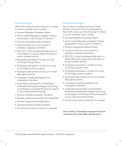#### Business Category

Must fulfill at least six of the following 15 criteria in current campaign year to qualify:

- Achieve Workplace Pacesetter Award
- Host a United Way agency Speakers' Bureau presentation to show impact of donations
- Achieve Corporate Excellence Award
- Include at least one union member on workplace campaign committee
- CEO, ED, or other employee(s) take part in a United Way focus group, panel discussion or similar volunteer activity
- Employees participate in at least one Day of Caring/Collection Drive
- Employees participate in at least one Living on the Edge poverty simulation
- Employees take at least one tour of a United Way agency partner
- Campaign includes participation from employees in GenNext
- Organization participates in United Way's Leadership Development Program by loaning an employee or providing the financial support to hire a Sponsored Executive(s)
- Business matches employees' donations
- Business makes corporate gift of at least \$5000
- Achieve Corporate Pacesetter Award
- Achieve Employee Excellence Award
- Include social media component in campaign

#### Non-Business Category

Non-business includes government, health, schools, and non-profit community agencies. Must fulfill at least six of the following 10 criteria in current campaign year to qualify:

- Achieve Workplace Pacesetter Award
- Host a United Way agency Speakers' Bureau presentation to show impact of donations
- Achieve Employee Excellence Award
- Include at least one union member on workplace campaign committee
- CEO, ED, or other employee(s) take part in a United Way focus group, panel discussion or similar volunteer activity
- Employees participate in at least one Day of Caring/Collection Drive
- Employees participate in at least one Living on the Edge poverty simulation
- Employees take at least one tour of a United Way agency partner
- Campaign includes participation from employees in GenNext
- Organization participates in United Way's Leadership Development Program by loaning an employee or providing the financial support to hire a Sponsored Executive(s)
- Include social media component in campaign

*Total number of workplace employees must be confirmed with United Way representative*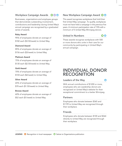#### Workplace Campaign Awards 000

Businesses, organizations and employee groups that demonstrate outstanding involvement, contributions and leadership during United Way's annual campaign are recognized by a graduated series of awards.

#### Ruby Award

95% of employees donate an average of \$182 each (\$3.50/week) to United Way.

#### Diamond Award

85% of employees donate an average of \$156 each (\$3/week) to United Way.

#### Platinum Award

75% of employees donate an average of \$130 each (\$2.50/week) to United Way.

#### Gold Award

70% of employees donate an average of \$104 each (\$2/week) to United Way.

#### Silver Award

65% of employees donate an average of \$78 each (\$1.50/week) to United Way.

#### Bronze Award

60% of employees donate an average of \$52 each (\$1/week) to United Way.

# New Workplace Campaign Award  $\bigcirc$  O

This award recognizes workplaces that hold their first United Way campaign. To qualify, workplaces must not have held a campaign in the previous five years. A minimum participation rate of 15% with a minimum of 5 United Way Winnipeg donors.

#### United In Numbers

00

These awards recognize workplaces with 500 or more donors who unite in their care for our community by participating in United Way's annual campaign.

# INDIVIDUAL DONOR RECOGNITION

## Leaders of the Way

 $\bf\Omega$ 

With annual contributions of \$1200 or more, employees who are Leadership donors are recognized on United Way's website for their exceptional commitment to a better Winnipeg.

#### Partners

Employees who donate between \$365 and \$1199 to United Way are recognized through their workplace.

#### Friends

Employees who donate between \$100 and \$364 directly to United Way are recognized through their workplace.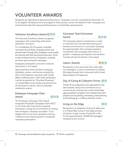# VOLUNTEER AWARDS

Recipients are identified by Sponsored Executives. Campaigns must be completed by December 15 to be eligible. Workplaces are encouraged to share photos, stories and details of their campaign and achievements with their Sponsored Executives or United Way representative.

# Volunteer Excellence Award  $\bigcirc$  O O

The Volunteer Excellence Award recognizes campaigns with outstanding enthusiasm, dedication, and spirit.

For consideration for this award, campaign volunteers should share campaign stories and photos/video through their workplace social media and directly with their Sponsored Executive. Strive to demonstrate humour, compassion, creativity, and team spirit during the campaign!

Employee participation and donor rates are also factors in this award.

*Sponsored Executives will share campaign highlights, photos, and stories compiled by them and workplace volunteers with United Way's marketing team. Each week workplaces may be recognized as "Kindness Showcase" on United Way's social media and photos from all submissions may be used at campaign celebration events.*

# Employee Campaign Chair Award

000

The Employee Campaign Chair Award recognizes Employee Campaign Chairs (ECC) or Co-Chairs who have shown creativity, enthusiasm, energy and commitment to making their workplace campaign successful. To be eligible, ECCs must have attended a training conference and inspired growth in employee campaign participation.

# Canvasser Team/Canvasser

Award

The Canvasser Award is presented to a team or individual who has attended training and showed commitment to a successful campaign by inspiring higher than average employee involvement and campaign performance. A growth in employee participation and donation increase will also be factors in this award.

## Labour Awards

800

000

Recognizes unions and locals that make gifts, run campaigns, or show commitment to a better Winnipeg through their involvement with United Way programs and agencies.

# Day of Caring & Collection Drives  $\bigcirc$  O

Thanks those workplaces and organizations that demonstrate caring and commitment to our community by volunteering to help United Way agency partners complete much needed short-term projects such as painting, renovating, event planning and landscaping or holding collection drives.

# Living on the Edge

00

Recognition of workplaces that have taken part in a United Way Living on the Edge poverty simulation to get a sense of what life is like for the approximately 130,000 Winnipeggers classified as low income.